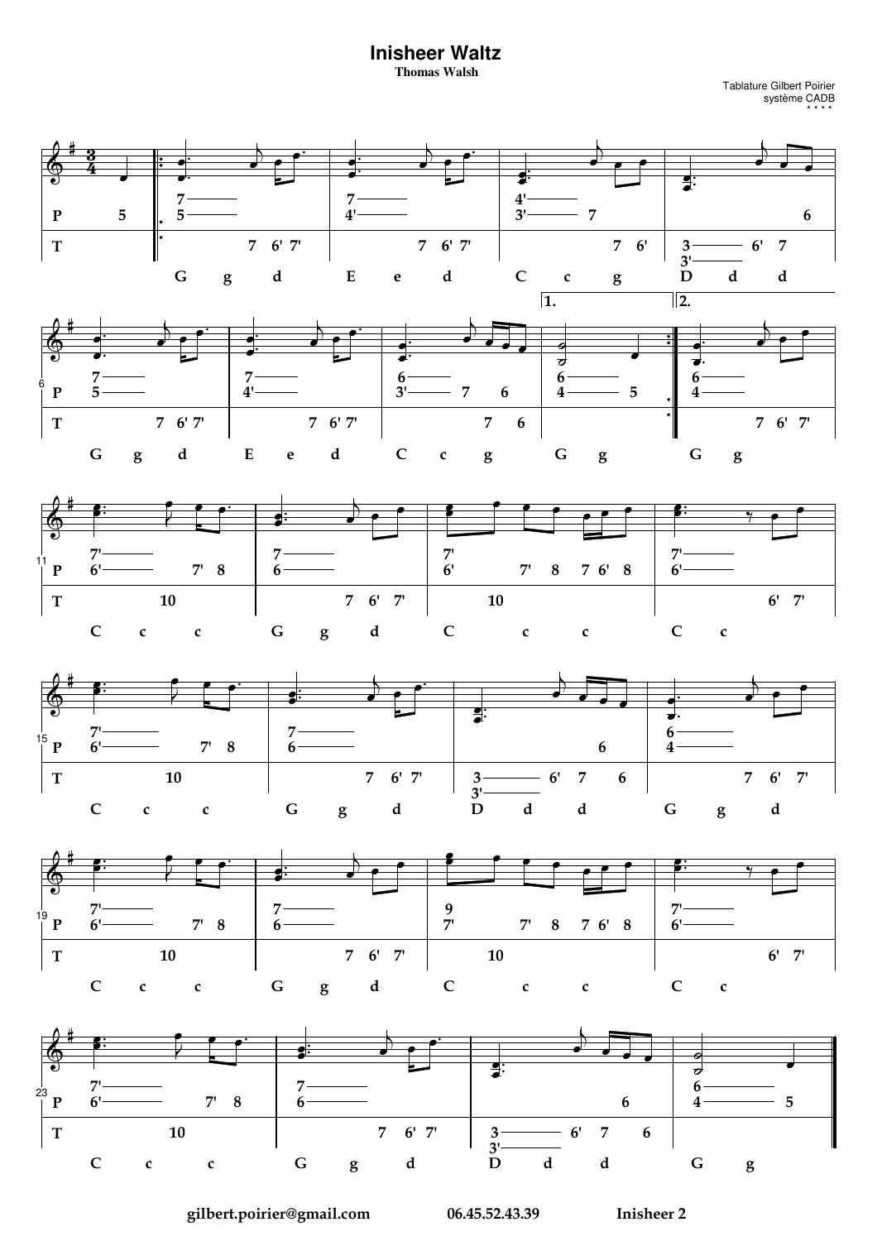## **Inisheer Waltz**

**Thomas Walsh** 

Tablature Gilbert Poirier<br>système CADB